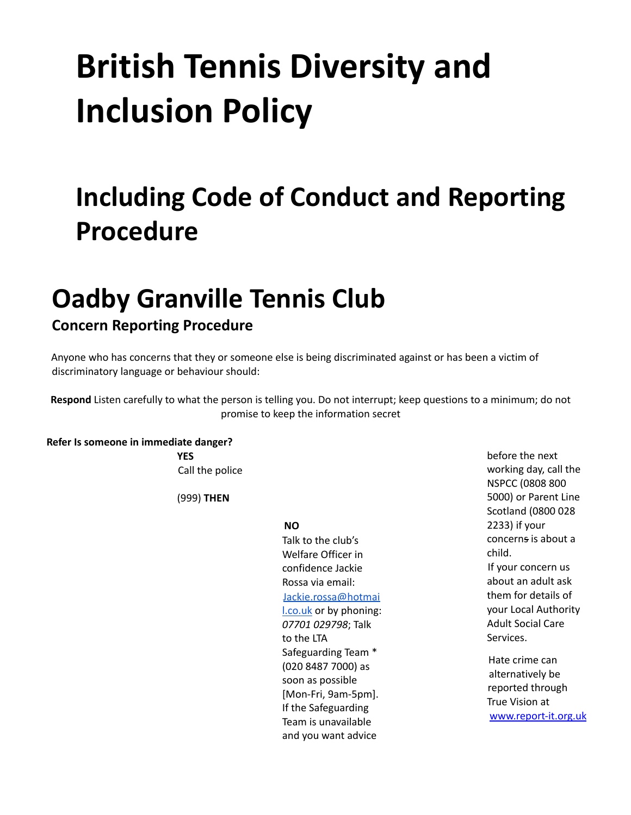# **British Tennis Diversity and Inclusion Policy**

# **Including Code of Conduct and Reporting Procedure**

## **Oadby Granville Tennis Club**

### **Concern Reporting Procedure**

Anyone who has concerns that they or someone else is being discriminated against or has been a victim of discriminatory language or behaviour should:

**Respond** Listen carefully to what the person is telling you. Do not interrupt; keep questions to a minimum; do not promise to keep the information secret

**Refer Is someone in immediate danger?**

**YES** Call the police

(999) **THEN**

#### **NO**

Talk to the club's Welfare Officer in confidence Jackie Rossa via email: Jackie.rossa@hotmai l.co.uk or by phoning: *07701 029798*; Talk to the LTA Safeguarding Team \* (020 8487 7000) as soon as possible [Mon-Fri, 9am-5pm]. If the Safeguarding Team is unavailable and you want advice

before the next working day, call the NSPCC (0808 800 5000) or Parent Line Scotland (0800 028 2233) if your concerns is about a child. If your concern us about an adult ask them for details of your Local Authority Adult Social Care Services. Hate crime can alternatively be reported through

True Vision at www.report-it.org.uk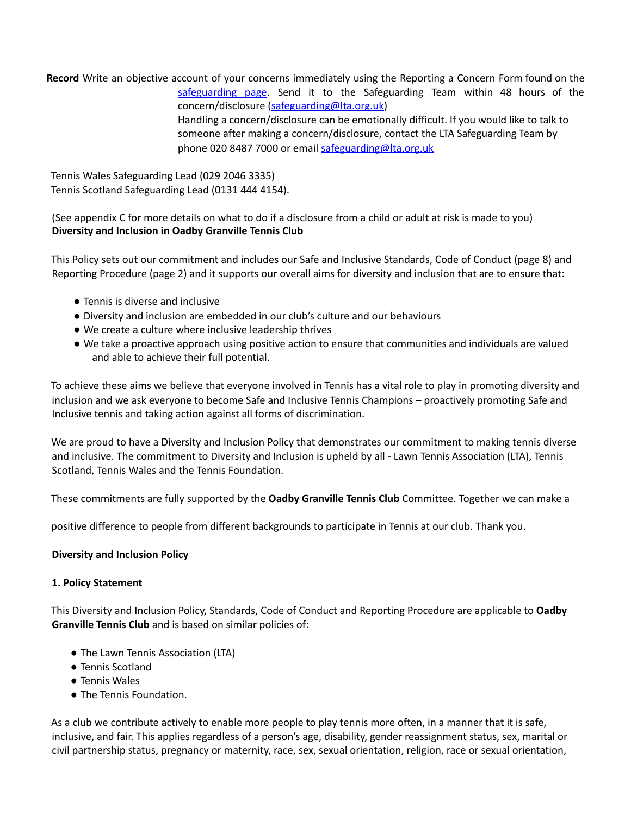**Record** Write an objective account of your concerns immediately using the Reporting a Concern Form found on the safeguarding page. Send it to the Safeguarding Team within 48 hours of the concern/disclosure (safeguarding@lta.org.uk) Handling a concern/disclosure can be emotionally difficult. If you would like to talk to someone after making a concern/disclosure, contact the LTA Safeguarding Team by phone 020 8487 7000 or email safeguarding@lta.org.uk

Tennis Wales Safeguarding Lead (029 2046 3335) Tennis Scotland Safeguarding Lead (0131 444 4154).

(See appendix C for more details on what to do if a disclosure from a child or adult at risk is made to you) **Diversity and Inclusion in Oadby Granville Tennis Club**

This Policy sets out our commitment and includes our Safe and Inclusive Standards, Code of Conduct (page 8) and Reporting Procedure (page 2) and it supports our overall aims for diversity and inclusion that are to ensure that:

- Tennis is diverse and inclusive
- Diversity and inclusion are embedded in our club's culture and our behaviours
- We create a culture where inclusive leadership thrives
- We take a proactive approach using positive action to ensure that communities and individuals are valued and able to achieve their full potential.

To achieve these aims we believe that everyone involved in Tennis has a vital role to play in promoting diversity and inclusion and we ask everyone to become Safe and Inclusive Tennis Champions – proactively promoting Safe and Inclusive tennis and taking action against all forms of discrimination.

We are proud to have a Diversity and Inclusion Policy that demonstrates our commitment to making tennis diverse and inclusive. The commitment to Diversity and Inclusion is upheld by all - Lawn Tennis Association (LTA), Tennis Scotland, Tennis Wales and the Tennis Foundation.

These commitments are fully supported by the **Oadby Granville Tennis Club** Committee. Together we can make a

positive difference to people from different backgrounds to participate in Tennis at our club. Thank you.

#### **Diversity and Inclusion Policy**

#### **1. Policy Statement**

This Diversity and Inclusion Policy, Standards, Code of Conduct and Reporting Procedure are applicable to **Oadby Granville Tennis Club** and is based on similar policies of:

- The Lawn Tennis Association (LTA)
- Tennis Scotland
- Tennis Wales
- The Tennis Foundation.

As a club we contribute actively to enable more people to play tennis more often, in a manner that it is safe, inclusive, and fair. This applies regardless of a person's age, disability, gender reassignment status, sex, marital or civil partnership status, pregnancy or maternity, race, sex, sexual orientation, religion, race or sexual orientation,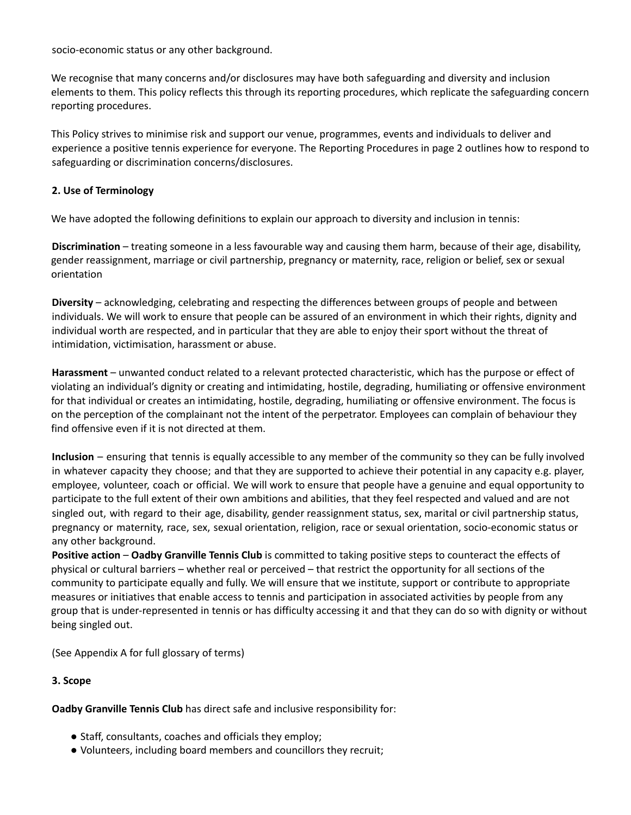socio-economic status or any other background.

We recognise that many concerns and/or disclosures may have both safeguarding and diversity and inclusion elements to them. This policy reflects this through its reporting procedures, which replicate the safeguarding concern reporting procedures.

This Policy strives to minimise risk and support our venue, programmes, events and individuals to deliver and experience a positive tennis experience for everyone. The Reporting Procedures in page 2 outlines how to respond to safeguarding or discrimination concerns/disclosures.

#### **2. Use of Terminology**

We have adopted the following definitions to explain our approach to diversity and inclusion in tennis:

**Discrimination** – treating someone in a less favourable way and causing them harm, because of their age, disability, gender reassignment, marriage or civil partnership, pregnancy or maternity, race, religion or belief, sex or sexual orientation

**Diversity** – acknowledging, celebrating and respecting the differences between groups of people and between individuals. We will work to ensure that people can be assured of an environment in which their rights, dignity and individual worth are respected, and in particular that they are able to enjoy their sport without the threat of intimidation, victimisation, harassment or abuse.

**Harassment** – unwanted conduct related to a relevant protected characteristic, which has the purpose or effect of violating an individual's dignity or creating and intimidating, hostile, degrading, humiliating or offensive environment for that individual or creates an intimidating, hostile, degrading, humiliating or offensive environment. The focus is on the perception of the complainant not the intent of the perpetrator. Employees can complain of behaviour they find offensive even if it is not directed at them.

**Inclusion** – ensuring that tennis is equally accessible to any member of the community so they can be fully involved in whatever capacity they choose; and that they are supported to achieve their potential in any capacity e.g. player, employee, volunteer, coach or official. We will work to ensure that people have a genuine and equal opportunity to participate to the full extent of their own ambitions and abilities, that they feel respected and valued and are not singled out, with regard to their age, disability, gender reassignment status, sex, marital or civil partnership status, pregnancy or maternity, race, sex, sexual orientation, religion, race or sexual orientation, socio-economic status or any other background.

**Positive action** – **Oadby Granville Tennis Club** is committed to taking positive steps to counteract the effects of physical or cultural barriers – whether real or perceived – that restrict the opportunity for all sections of the community to participate equally and fully. We will ensure that we institute, support or contribute to appropriate measures or initiatives that enable access to tennis and participation in associated activities by people from any group that is under-represented in tennis or has difficulty accessing it and that they can do so with dignity or without being singled out.

(See Appendix A for full glossary of terms)

#### **3. Scope**

**Oadby Granville Tennis Club** has direct safe and inclusive responsibility for:

- Staff, consultants, coaches and officials they employ;
- Volunteers, including board members and councillors they recruit;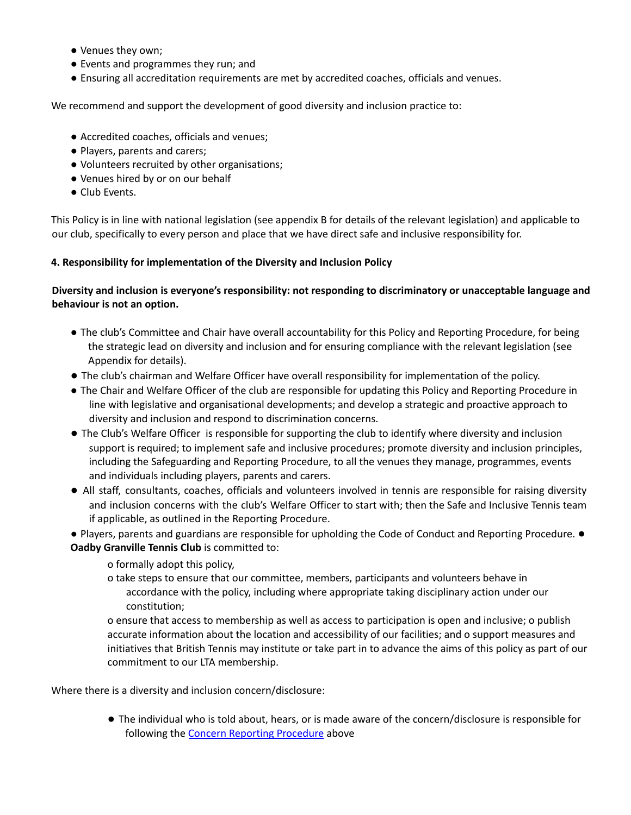- Venues they own;
- Events and programmes they run; and
- Ensuring all accreditation requirements are met by accredited coaches, officials and venues.

We recommend and support the development of good diversity and inclusion practice to:

- Accredited coaches, officials and venues;
- Players, parents and carers;
- Volunteers recruited by other organisations;
- Venues hired by or on our behalf
- Club Events.

This Policy is in line with national legislation (see appendix B for details of the relevant legislation) and applicable to our club, specifically to every person and place that we have direct safe and inclusive responsibility for.

#### **4. Responsibility for implementation of the Diversity and Inclusion Policy**

#### **Diversity and inclusion is everyone's responsibility: not responding to discriminatory or unacceptable language and behaviour is not an option.**

- The club's Committee and Chair have overall accountability for this Policy and Reporting Procedure, for being the strategic lead on diversity and inclusion and for ensuring compliance with the relevant legislation (see Appendix for details).
- The club's chairman and Welfare Officer have overall responsibility for implementation of the policy.
- The Chair and Welfare Officer of the club are responsible for updating this Policy and Reporting Procedure in line with legislative and organisational developments; and develop a strategic and proactive approach to diversity and inclusion and respond to discrimination concerns.
- The Club's Welfare Officer is responsible for supporting the club to identify where diversity and inclusion support is required; to implement safe and inclusive procedures; promote diversity and inclusion principles, including the Safeguarding and Reporting Procedure, to all the venues they manage, programmes, events and individuals including players, parents and carers.
- All staff, consultants, coaches, officials and volunteers involved in tennis are responsible for raising diversity and inclusion concerns with the club's Welfare Officer to start with; then the Safe and Inclusive Tennis team if applicable, as outlined in the Reporting Procedure.
- Players, parents and guardians are responsible for upholding the Code of Conduct and Reporting Procedure. **Oadby Granville Tennis Club** is committed to:
	- o formally adopt this policy,
	- o take steps to ensure that our committee, members, participants and volunteers behave in accordance with the policy, including where appropriate taking disciplinary action under our constitution;

o ensure that access to membership as well as access to participation is open and inclusive; o publish accurate information about the location and accessibility of our facilities; and o support measures and initiatives that British Tennis may institute or take part in to advance the aims of this policy as part of our commitment to our LTA membership.

Where there is a diversity and inclusion concern/disclosure:

● The individual who is told about, hears, or is made aware of the concern/disclosure is responsible for following the Concern Reporting Procedure above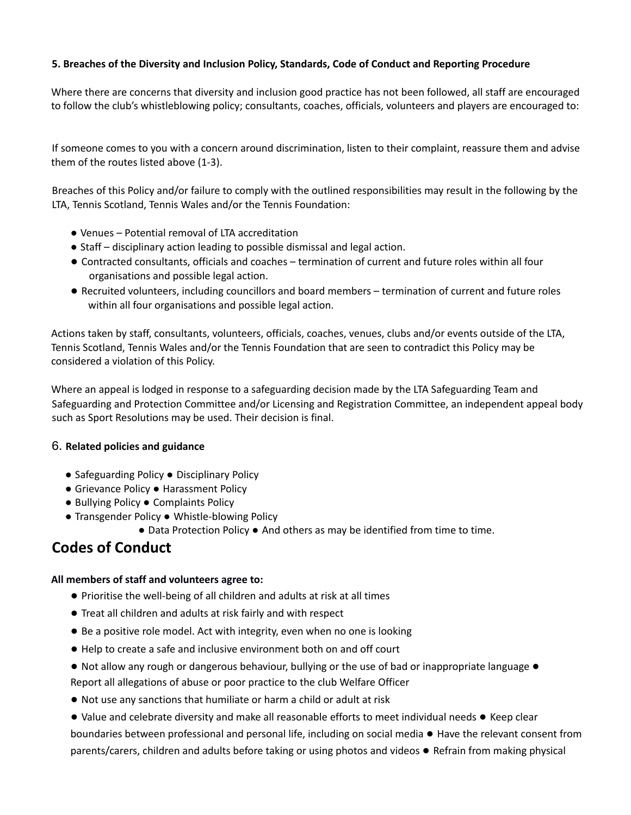#### **5. Breaches of the Diversity and Inclusion Policy, Standards, Code of Conduct and Reporting Procedure**

Where there are concerns that diversity and inclusion good practice has not been followed, all staff are encouraged to follow the club's whistleblowing policy; consultants, coaches, officials, volunteers and players are encouraged to:

If someone comes to you with a concern around discrimination, listen to their complaint, reassure them and advise them of the routes listed above (1-3).

Breaches of this Policy and/or failure to comply with the outlined responsibilities may result in the following by the LTA, Tennis Scotland, Tennis Wales and/or the Tennis Foundation:

- Venues Potential removal of LTA accreditation
- Staff disciplinary action leading to possible dismissal and legal action.
- Contracted consultants, officials and coaches termination of current and future roles within all four organisations and possible legal action.
- Recruited volunteers, including councillors and board members termination of current and future roles within all four organisations and possible legal action.

Actions taken by staff, consultants, volunteers, officials, coaches, venues, clubs and/or events outside of the LTA, Tennis Scotland, Tennis Wales and/or the Tennis Foundation that are seen to contradict this Policy may be considered a violation of this Policy.

Where an appeal is lodged in response to a safeguarding decision made by the LTA Safeguarding Team and Safeguarding and Protection Committee and/or Licensing and Registration Committee, an independent appeal body such as Sport Resolutions may be used. Their decision is final.

#### 6. **Related policies and guidance**

- Safeguarding Policy Disciplinary Policy
- Grievance Policy Harassment Policy
- Bullying Policy Complaints Policy
- Transgender Policy Whistle-blowing Policy
	- Data Protection Policy And others as may be identified from time to time.

### **Codes of Conduct**

#### **All members of staff and volunteers agree to:**

- Prioritise the well-being of all children and adults at risk at all times
- Treat all children and adults at risk fairly and with respect
- Be a positive role model. Act with integrity, even when no one is looking
- Help to create a safe and inclusive environment both on and off court
- Not allow any rough or dangerous behaviour, bullying or the use of bad or inappropriate language Report all allegations of abuse or poor practice to the club Welfare Officer
- Not use any sanctions that humiliate or harm a child or adult at risk
- Value and celebrate diversity and make all reasonable efforts to meet individual needs Keep clear boundaries between professional and personal life, including on social media ● Have the relevant consent from parents/carers, children and adults before taking or using photos and videos ● Refrain from making physical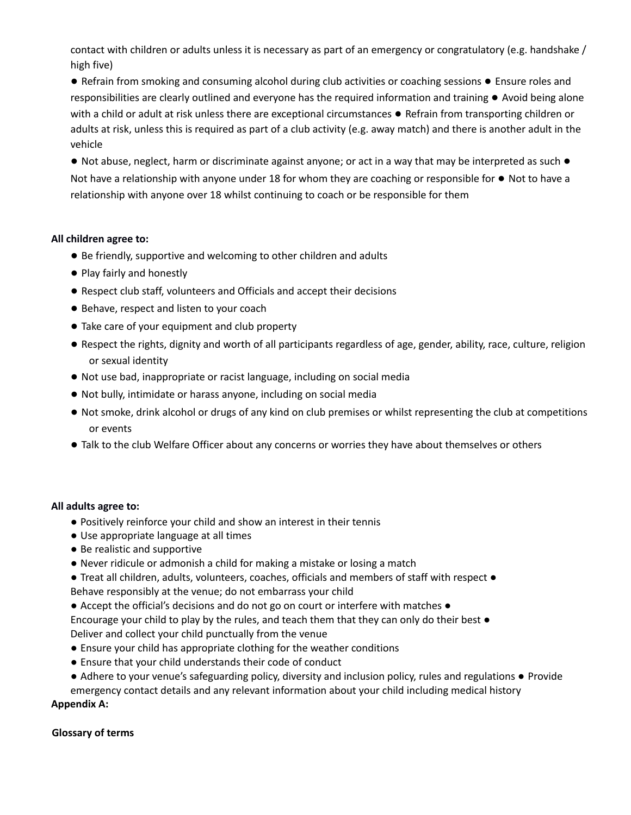contact with children or adults unless it is necessary as part of an emergency or congratulatory (e.g. handshake / high five)

● Refrain from smoking and consuming alcohol during club activities or coaching sessions ● Ensure roles and responsibilities are clearly outlined and everyone has the required information and training ● Avoid being alone with a child or adult at risk unless there are exceptional circumstances ● Refrain from transporting children or adults at risk, unless this is required as part of a club activity (e.g. away match) and there is another adult in the vehicle

● Not abuse, neglect, harm or discriminate against anyone; or act in a way that may be interpreted as such ● Not have a relationship with anyone under 18 for whom they are coaching or responsible for ● Not to have a relationship with anyone over 18 whilst continuing to coach or be responsible for them

#### **All children agree to:**

- Be friendly, supportive and welcoming to other children and adults
- Play fairly and honestly
- Respect club staff, volunteers and Officials and accept their decisions
- Behave, respect and listen to your coach
- Take care of your equipment and club property
- Respect the rights, dignity and worth of all participants regardless of age, gender, ability, race, culture, religion or sexual identity
- Not use bad, inappropriate or racist language, including on social media
- Not bully, intimidate or harass anyone, including on social media
- Not smoke, drink alcohol or drugs of any kind on club premises or whilst representing the club at competitions or events
- Talk to the club Welfare Officer about any concerns or worries they have about themselves or others

#### **All adults agree to:**

- Positively reinforce your child and show an interest in their tennis
- Use appropriate language at all times
- Be realistic and supportive
- Never ridicule or admonish a child for making a mistake or losing a match
- Treat all children, adults, volunteers, coaches, officials and members of staff with respect Behave responsibly at the venue; do not embarrass your child
- Accept the official's decisions and do not go on court or interfere with matches ●
- Encourage your child to play by the rules, and teach them that they can only do their best Deliver and collect your child punctually from the venue
- Ensure your child has appropriate clothing for the weather conditions
- Ensure that your child understands their code of conduct
- Adhere to your venue's safeguarding policy, diversity and inclusion policy, rules and regulations Provide emergency contact details and any relevant information about your child including medical history

#### **Appendix A:**

#### **Glossary of terms**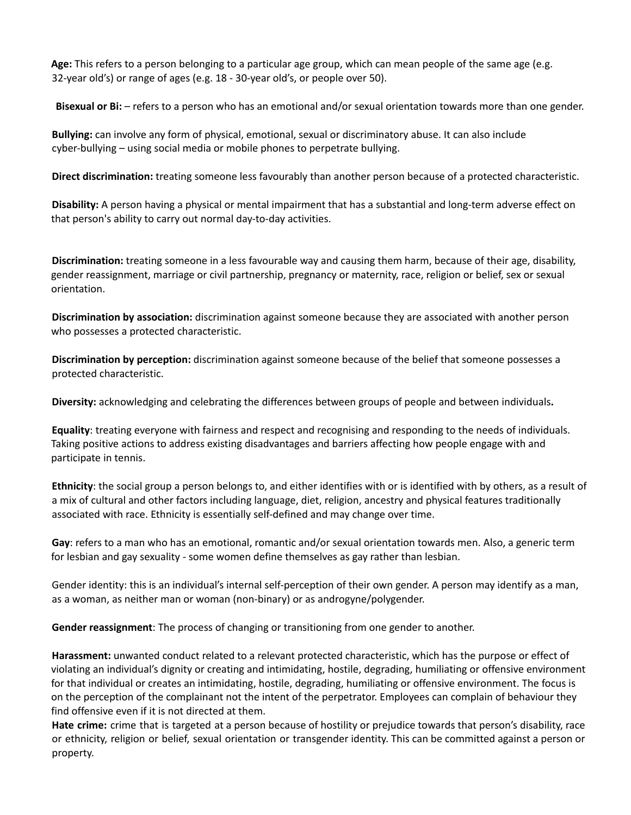**Age:** This refers to a person belonging to a particular age group, which can mean people of the same age (e.g. 32-year old's) or range of ages (e.g. 18 - 30-year old's, or people over 50).

**Bisexual or Bi:** – refers to a person who has an emotional and/or sexual orientation towards more than one gender.

**Bullying:** can involve any form of physical, emotional, sexual or discriminatory abuse. It can also include cyber-bullying – using social media or mobile phones to perpetrate bullying.

**Direct discrimination:** treating someone less favourably than another person because of a protected characteristic.

**Disability:** A person having a physical or mental impairment that has a substantial and long-term adverse effect on that person's ability to carry out normal day-to-day activities.

**Discrimination:** treating someone in a less favourable way and causing them harm, because of their age, disability, gender reassignment, marriage or civil partnership, pregnancy or maternity, race, religion or belief, sex or sexual orientation.

**Discrimination by association:** discrimination against someone because they are associated with another person who possesses a protected characteristic.

**Discrimination by perception:** discrimination against someone because of the belief that someone possesses a protected characteristic.

**Diversity:** acknowledging and celebrating the differences between groups of people and between individuals**.**

**Equality**: treating everyone with fairness and respect and recognising and responding to the needs of individuals. Taking positive actions to address existing disadvantages and barriers affecting how people engage with and participate in tennis.

**Ethnicity**: the social group a person belongs to, and either identifies with or is identified with by others, as a result of a mix of cultural and other factors including language, diet, religion, ancestry and physical features traditionally associated with race. Ethnicity is essentially self-defined and may change over time.

**Gay**: refers to a man who has an emotional, romantic and/or sexual orientation towards men. Also, a generic term for lesbian and gay sexuality - some women define themselves as gay rather than lesbian.

Gender identity: this is an individual's internal self-perception of their own gender. A person may identify as a man, as a woman, as neither man or woman (non-binary) or as androgyne/polygender.

**Gender reassignment**: The process of changing or transitioning from one gender to another.

**Harassment:** unwanted conduct related to a relevant protected characteristic, which has the purpose or effect of violating an individual's dignity or creating and intimidating, hostile, degrading, humiliating or offensive environment for that individual or creates an intimidating, hostile, degrading, humiliating or offensive environment. The focus is on the perception of the complainant not the intent of the perpetrator. Employees can complain of behaviour they find offensive even if it is not directed at them.

**Hate crime:** crime that is targeted at a person because of hostility or prejudice towards that person's disability, race or ethnicity, religion or belief, sexual orientation or transgender identity. This can be committed against a person or property.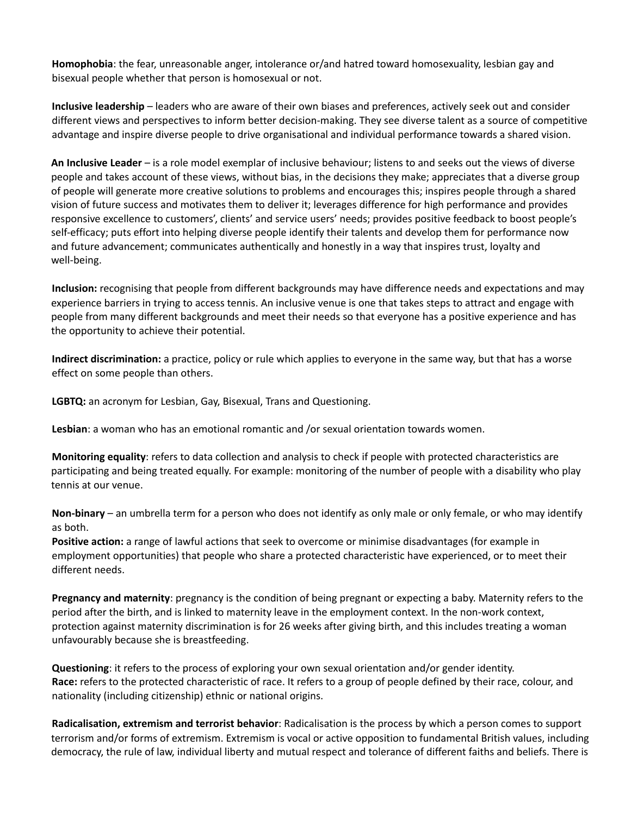**Homophobia**: the fear, unreasonable anger, intolerance or/and hatred toward homosexuality, lesbian gay and bisexual people whether that person is homosexual or not.

**Inclusive leadership** – leaders who are aware of their own biases and preferences, actively seek out and consider different views and perspectives to inform better decision-making. They see diverse talent as a source of competitive advantage and inspire diverse people to drive organisational and individual performance towards a shared vision.

**An Inclusive Leader** – is a role model exemplar of inclusive behaviour; listens to and seeks out the views of diverse people and takes account of these views, without bias, in the decisions they make; appreciates that a diverse group of people will generate more creative solutions to problems and encourages this; inspires people through a shared vision of future success and motivates them to deliver it; leverages difference for high performance and provides responsive excellence to customers', clients' and service users' needs; provides positive feedback to boost people's self-efficacy; puts effort into helping diverse people identify their talents and develop them for performance now and future advancement; communicates authentically and honestly in a way that inspires trust, loyalty and well-being.

**Inclusion:** recognising that people from different backgrounds may have difference needs and expectations and may experience barriers in trying to access tennis. An inclusive venue is one that takes steps to attract and engage with people from many different backgrounds and meet their needs so that everyone has a positive experience and has the opportunity to achieve their potential.

**Indirect discrimination:** a practice, policy or rule which applies to everyone in the same way, but that has a worse effect on some people than others.

**LGBTQ:** an acronym for Lesbian, Gay, Bisexual, Trans and Questioning.

**Lesbian**: a woman who has an emotional romantic and /or sexual orientation towards women.

**Monitoring equality**: refers to data collection and analysis to check if people with protected characteristics are participating and being treated equally. For example: monitoring of the number of people with a disability who play tennis at our venue.

**Non-binary** – an umbrella term for a person who does not identify as only male or only female, or who may identify as both.

**Positive action:** a range of lawful actions that seek to overcome or minimise disadvantages (for example in employment opportunities) that people who share a protected characteristic have experienced, or to meet their different needs.

**Pregnancy and maternity**: pregnancy is the condition of being pregnant or expecting a baby. Maternity refers to the period after the birth, and is linked to maternity leave in the employment context. In the non-work context, protection against maternity discrimination is for 26 weeks after giving birth, and this includes treating a woman unfavourably because she is breastfeeding.

**Questioning**: it refers to the process of exploring your own sexual orientation and/or gender identity. **Race:** refers to the protected characteristic of race. It refers to a group of people defined by their race, colour, and nationality (including citizenship) ethnic or national origins.

**Radicalisation, extremism and terrorist behavior**: Radicalisation is the process by which a person comes to support terrorism and/or forms of extremism. Extremism is vocal or active opposition to fundamental British values, including democracy, the rule of law, individual liberty and mutual respect and tolerance of different faiths and beliefs. There is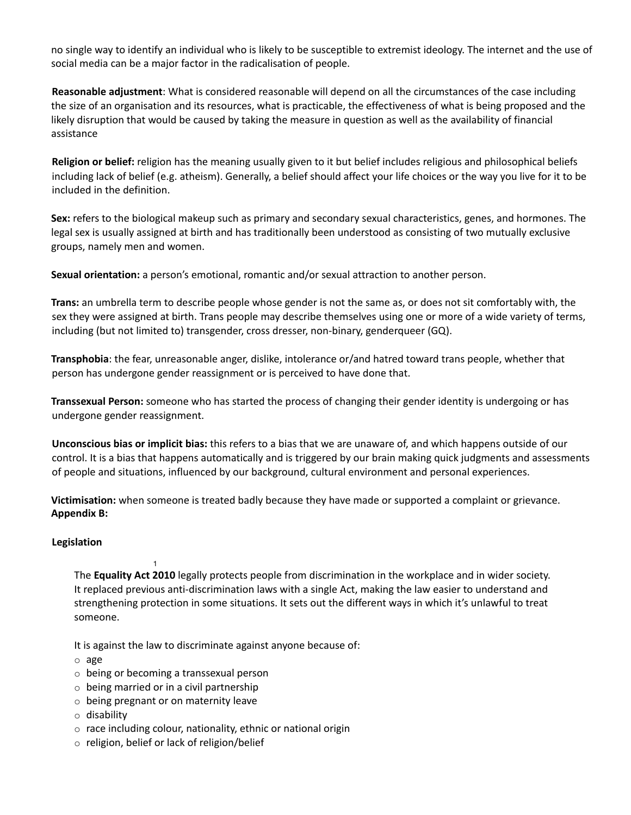no single way to identify an individual who is likely to be susceptible to extremist ideology. The internet and the use of social media can be a major factor in the radicalisation of people.

**Reasonable adjustment**: What is considered reasonable will depend on all the circumstances of the case including the size of an organisation and its resources, what is practicable, the effectiveness of what is being proposed and the likely disruption that would be caused by taking the measure in question as well as the availability of financial assistance

**Religion or belief:** religion has the meaning usually given to it but belief includes religious and philosophical beliefs including lack of belief (e.g. atheism). Generally, a belief should affect your life choices or the way you live for it to be included in the definition.

**Sex:** refers to the biological makeup such as primary and secondary sexual characteristics, genes, and hormones. The legal sex is usually assigned at birth and has traditionally been understood as consisting of two mutually exclusive groups, namely men and women.

**Sexual orientation:** a person's emotional, romantic and/or sexual attraction to another person.

**Trans:** an umbrella term to describe people whose gender is not the same as, or does not sit comfortably with, the sex they were assigned at birth. Trans people may describe themselves using one or more of a wide variety of terms, including (but not limited to) transgender, cross dresser, non-binary, genderqueer (GQ).

**Transphobia**: the fear, unreasonable anger, dislike, intolerance or/and hatred toward trans people, whether that person has undergone gender reassignment or is perceived to have done that.

**Transsexual Person:** someone who has started the process of changing their gender identity is undergoing or has undergone gender reassignment.

**Unconscious bias or implicit bias:** this refers to a bias that we are unaware of, and which happens outside of our control. It is a bias that happens automatically and is triggered by our brain making quick judgments and assessments of people and situations, influenced by our background, cultural environment and personal experiences.

**Victimisation:** when someone is treated badly because they have made or supported a complaint or grievance. **Appendix B:**

#### **Legislation**

1 The **Equality Act 2010** legally protects people from discrimination in the workplace and in wider society. It replaced previous anti-discrimination laws with a single Act, making the law easier to understand and strengthening protection in some situations. It sets out the different ways in which it's unlawful to treat someone.

It is against the law to discriminate against anyone because of:

- o age
- o being or becoming a transsexual person
- $\circ$  being married or in a civil partnership
- o being pregnant or on maternity leave
- o disability
- o race including colour, nationality, ethnic or national origin
- o religion, belief or lack of religion/belief